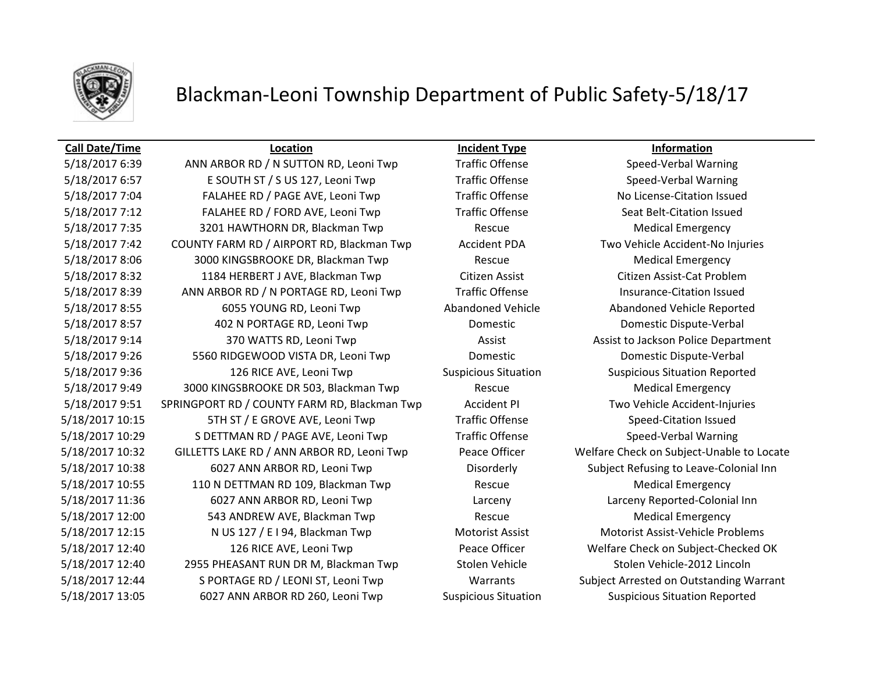

## Blackman-Leoni Township Department of Public Safety-5/18/17

## **Call Date/Time Location Incident Type Information**

5/18/2017 6:39 ANN ARBOR RD / N SUTTON RD, Leoni Twp Traffic Offense Speed-Verbal Warning 5/18/2017 6:57 E SOUTH ST / S US 127, Leoni Twp Traffic Offense Speed-Verbal Warning 5/18/2017 7:04 FALAHEE RD / PAGE AVE, Leoni Twp Traffic Offense No License-Citation Issued 5/18/2017 7:12 FALAHEE RD / FORD AVE, Leoni Twp Traffic Offense Seat Belt-Citation Issued 5/18/2017 7:35 3201 HAWTHORN DR, Blackman Twp Rescue Rescue Medical Emergency 5/18/2017 7:42 COUNTY FARM RD / AIRPORT RD, Blackman Twp Accident PDA Two Vehicle Accident-No Injuries 5/18/2017 8:06 3000 KINGSBROOKE DR, Blackman Twp Rescue Rescue Medical Emergency 5/18/2017 8:32 1184 HERBERT J AVE, Blackman Twp Citizen Assist Citizen Assist-Cat Problem 5/18/2017 8:39 ANN ARBOR RD / N PORTAGE RD, Leoni Twp Traffic Offense Insurance-Citation Issued 5/18/2017 8:55 6055 YOUNG RD, Leoni Twp Abandoned Vehicle Abandoned Vehicle Reported 5/18/2017 8:57 402 N PORTAGE RD, Leoni Twp Domestic Domestic Dispute-Verbal 5/18/2017 9:14 370 WATTS RD, Leoni Twp Assist Assist Assist to Jackson Police Department 5/18/2017 9:26 5560 RIDGEWOOD VISTA DR, Leoni Twp Domestic Domestic Dispute-Verbal 5/18/2017 9:36 126 RICE AVE, Leoni Twp Suspicious Situation Suspicious Situation Reported 5/18/2017 9:49 3000 KINGSBROOKE DR 503, Blackman Twp Rescue Rescue Medical Emergency 5/18/2017 9:51 SPRINGPORT RD / COUNTY FARM RD, Blackman Twp Accident PI Two Vehicle Accident-Injuries 5/18/2017 10:15 5TH ST / E GROVE AVE, Leoni Twp 57 Traffic Offense Speed-Citation Issued 5/18/2017 10:29 SDETTMAN RD / PAGE AVE, Leoni Twp Traffic Offense Speed-Verbal Warning 5/18/2017 10:32 GILLETTS LAKE RD / ANN ARBOR RD, Leoni Twp Peace Officer Welfare Check on Subject-Unable to Locate 5/18/2017 10:38 6027 ANN ARBOR RD, Leoni Twp Disorderly Subject Refusing to Leave-Colonial Inn 5/18/2017 10:55 110 N DETTMAN RD 109, Blackman Twp Rescue Rescue Medical Emergency 5/18/2017 11:36 6027 ANN ARBOR RD, Leoni Twp Larceny Larceny Reported-Colonial Inn 5/18/2017 12:00 543 ANDREW AVE, Blackman Twp Rescue Rescue Medical Emergency 5/18/2017 12:15 N US 127 / E I 94, Blackman Twp Motorist Assist Motorist Assist Motorist Assist-Vehicle Problems 5/18/2017 12:40 126 RICE AVE, Leoni Twp Peace Officer Welfare Check on Subject-Checked OK 5/18/2017 12:40 2955 PHEASANT RUN DR M, Blackman Twp Stolen Vehicle Stolen Vehicle-2012 Lincoln 5/18/2017 12:44 S PORTAGE RD / LEONI ST, Leoni Twp Warrants Subject Arrested on Outstanding Warrant 5/18/2017 13:05 6027 ANN ARBOR RD 260, Leoni Twp Suspicious Situation Suspicious Situation Reported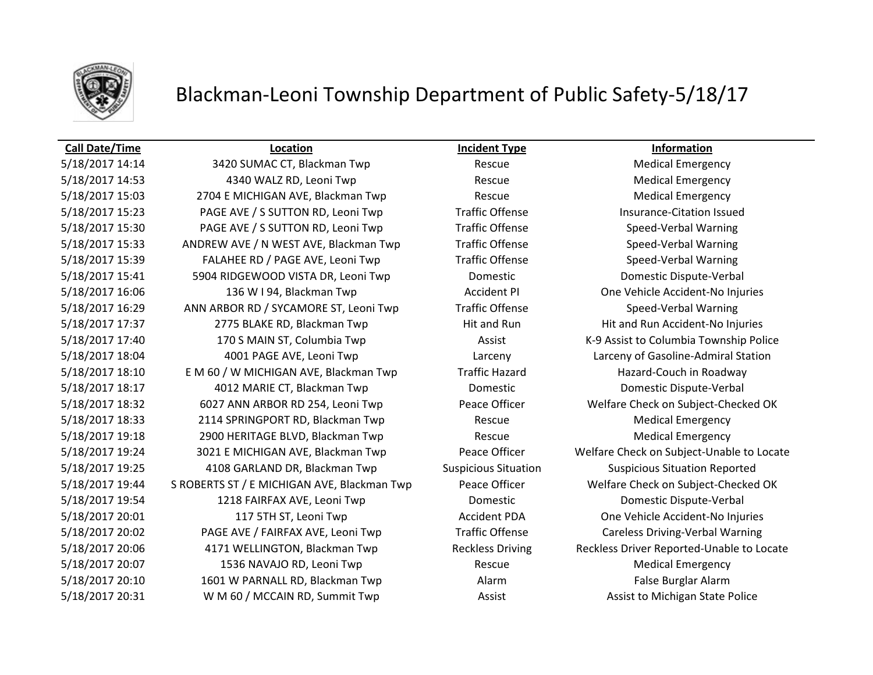

## Blackman-Leoni Township Department of Public Safety-5/18/17

### **Call Date/Time Location Incident Type Information**

5/18/2017 14:14 3420 SUMAC CT, Blackman Twp Rescue Medical Emergency 5/18/2017 14:53 4340 WALZ RD, Leoni Twp Rescue Medical Emergency 5/18/2017 15:03 2704 E MICHIGAN AVE, Blackman Twp Rescue Rescue Medical Emergency 5/18/2017 15:23 PAGE AVE / S SUTTON RD, Leoni Twp Traffic Offense Insurance-Citation Issued 5/18/2017 15:30 PAGE AVE / S SUTTON RD, Leoni Twp Traffic Offense Speed-Verbal Warning 5/18/2017 15:33 ANDREW AVE / N WEST AVE, Blackman Twp Traffic Offense Speed-Verbal Warning 5/18/2017 15:39 FALAHEE RD / PAGE AVE, Leoni Twp Traffic Offense Speed-Verbal Warning 5/18/2017 15:41 5904 RIDGEWOOD VISTA DR, Leoni Twp Domestic Domestic Dispute-Verbal 5/18/2017 16:06 136 W I 94, Blackman Twp **Accident PI** One Vehicle Accident-No Injuries 5/18/2017 16:29 ANN ARBOR RD / SYCAMORE ST, Leoni Twp Traffic Offense Speed-Verbal Warning 5/18/2017 17:37 2775 BLAKE RD, Blackman Twp Hit and Run Hit and Run Hit and Run Accident-No Injuries 5/18/2017 17:40 170 S MAIN ST, Columbia Twp **Assist Assist COLUMBIA Township Police** Assist to Columbia Township Police 5/18/2017 18:04 4001 PAGE AVE, Leoni Twp Larceny Larceny of Gasoline-Admiral Station 5/18/2017 18:10 EM 60 / W MICHIGAN AVE, Blackman Twp Traffic Hazard Hazard Hazard-Couch in Roadway 5/18/2017 18:17 4012 MARIE CT, Blackman Twp Domestic Domestic Dispute-Verbal 5/18/2017 18:32 6027 ANN ARBOR RD 254, Leoni Twp Peace Officer Welfare Check on Subject-Checked OK 5/18/2017 18:33 2114 SPRINGPORT RD, Blackman Twp Rescue Rescue Medical Emergency 5/18/2017 19:18 2900 HERITAGE BLVD, Blackman Twp Rescue Medical Emergency 5/18/2017 19:24 3021 E MICHIGAN AVE, Blackman Twp Peace Officer Welfare Check on Subject-Unable to Locate 5/18/2017 19:25 4108 GARLAND DR, Blackman Twp Suspicious Situation Suspicious Situation Reported 5/18/2017 19:44 S ROBERTS ST / E MICHIGAN AVE, Blackman Twp Peace Officer Welfare Check on Subject-Checked OK 5/18/2017 19:54 1218 FAIRFAX AVE, Leoni Twp Domestic Domestic Dispute-Verbal 5/18/2017 20:01 117 5TH ST, Leoni Twp Accident PDA One Vehicle Accident-No Injuries 5/18/2017 20:02 PAGE AVE / FAIRFAX AVE, Leoni Twp Traffic Offense Careless Driving-Verbal Warning 5/18/2017 20:06 4171 WELLINGTON, Blackman Twp Reckless Driving Reckless Driver Reported-Unable to Locate 5/18/2017 20:07 1536 NAVAJO RD, Leoni Twp Rescue Medical Emergency 5/18/2017 20:10 1601 W PARNALL RD, Blackman Twp **Alarm Alarm False Burglar Alarm** False Burglar Alarm 5/18/2017 20:31 WM 60 / MCCAIN RD, Summit Twp **Assist Assist Assist Conduction** Assist to Michigan State Police